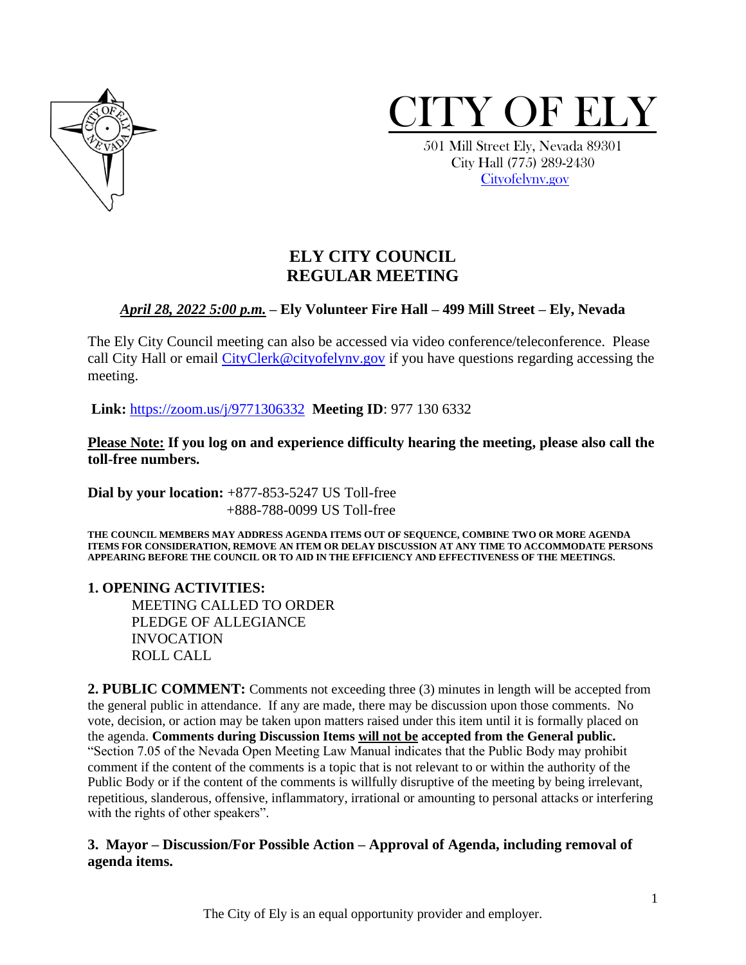



 501 Mill Street Ely, Nevada 89301 City Hall (775) 289-2430 [Cityofelynv.gov](mailto:Cityofelynv.gov)

# **ELY CITY COUNCIL REGULAR MEETING**

## *April 28, 2022 5:00 p.m.* **– Ely Volunteer Fire Hall – 499 Mill Street – Ely, Nevada**

The Ely City Council meeting can also be accessed via video conference/teleconference. Please call City Hall or email [CityClerk@cityofelynv.gov](mailto:CityClerk@cityofelynv.gov) if you have questions regarding accessing the meeting.

**Link:** [https://zoom.us/j/9771306332](https://zoom.us/j/9771306332?status=success) **Meeting ID**: 977 130 6332

**Please Note: If you log on and experience difficulty hearing the meeting, please also call the toll-free numbers.** 

**Dial by your location:** +877-853-5247 US Toll-free +888-788-0099 US Toll-free

**THE COUNCIL MEMBERS MAY ADDRESS AGENDA ITEMS OUT OF SEQUENCE, COMBINE TWO OR MORE AGENDA ITEMS FOR CONSIDERATION, REMOVE AN ITEM OR DELAY DISCUSSION AT ANY TIME TO ACCOMMODATE PERSONS APPEARING BEFORE THE COUNCIL OR TO AID IN THE EFFICIENCY AND EFFECTIVENESS OF THE MEETINGS.**

#### **1. OPENING ACTIVITIES:**

MEETING CALLED TO ORDER PLEDGE OF ALLEGIANCE INVOCATION ROLL CALL

**2. PUBLIC COMMENT:** Comments not exceeding three (3) minutes in length will be accepted from the general public in attendance. If any are made, there may be discussion upon those comments. No vote, decision, or action may be taken upon matters raised under this item until it is formally placed on the agenda. **Comments during Discussion Items will not be accepted from the General public.**  "Section 7.05 of the Nevada Open Meeting Law Manual indicates that the Public Body may prohibit comment if the content of the comments is a topic that is not relevant to or within the authority of the Public Body or if the content of the comments is willfully disruptive of the meeting by being irrelevant, repetitious, slanderous, offensive, inflammatory, irrational or amounting to personal attacks or interfering with the rights of other speakers".

## **3. Mayor – Discussion/For Possible Action – Approval of Agenda, including removal of agenda items.**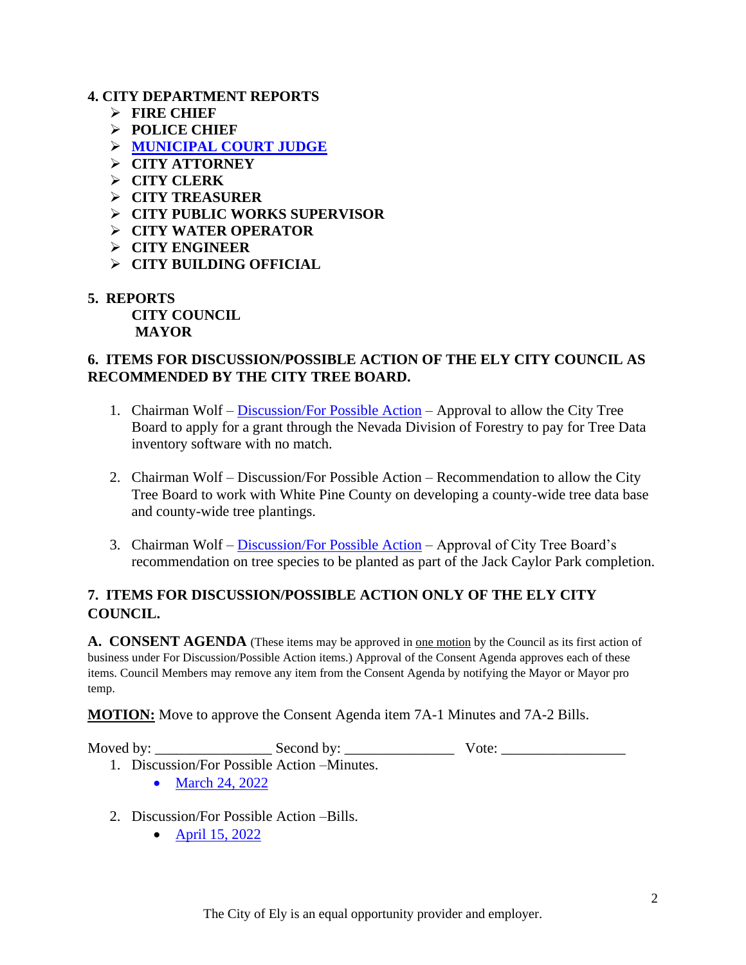#### **4. CITY DEPARTMENT REPORTS**

- ➢ **FIRE CHIEF**
- ➢ **POLICE CHIEF**
- ➢ **[MUNICIPAL COURT JUDGE](https://www.cityofelynv.gov/pdf/CityCouncil2022/cc4-28-22/MunicourtMarch22report.pdf)**
- ➢ **CITY ATTORNEY**
- ➢ **CITY CLERK**
- ➢ **CITY TREASURER**
- ➢ **CITY PUBLIC WORKS SUPERVISOR**
- ➢ **CITY WATER OPERATOR**
- ➢ **CITY ENGINEER**
- ➢ **CITY BUILDING OFFICIAL**
- **5. REPORTS**

**CITY COUNCIL MAYOR**

#### **6. ITEMS FOR DISCUSSION/POSSIBLE ACTION OF THE ELY CITY COUNCIL AS RECOMMENDED BY THE CITY TREE BOARD.**

- 1. Chairman Wolf [Discussion/For Possible Action](https://www.cityofelynv.gov/pdf/CityCouncil2022/cc4-28-22/TreeMappingSoftwareandgrantap.pdf) Approval to allow the City Tree Board to apply for a grant through the Nevada Division of Forestry to pay for Tree Data inventory software with no match.
- 2. Chairman Wolf Discussion/For Possible Action Recommendation to allow the City Tree Board to work with White Pine County on developing a county-wide tree data base and county-wide tree plantings.
- 3. Chairman Wolf [Discussion/For Possible Action](https://www.cityofelynv.gov/pdf/TreeBoard/TB4-28-22/20257_Jack_ConstructionDrawings_FINAL_PlantingPlanOnly.pdf) Approval of City Tree Board's recommendation on tree species to be planted as part of the Jack Caylor Park completion.

## **7. ITEMS FOR DISCUSSION/POSSIBLE ACTION ONLY OF THE ELY CITY COUNCIL.**

**A. CONSENT AGENDA** (These items may be approved in <u>one motion</u> by the Council as its first action of business under For Discussion/Possible Action items.) Approval of the Consent Agenda approves each of these items. Council Members may remove any item from the Consent Agenda by notifying the Mayor or Mayor pro temp.

**MOTION:** Move to approve the Consent Agenda item 7A-1 Minutes and 7A-2 Bills.

Moved by: \_\_\_\_\_\_\_\_\_\_\_\_\_\_\_\_ Second by: \_\_\_\_\_\_\_\_\_\_\_\_\_\_\_ Vote: \_\_\_\_\_\_\_\_\_\_\_\_\_\_\_\_\_

- 1. Discussion/For Possible Action –Minutes.
	- [March 24, 2022](https://www.cityofelynv.gov/pdf/CityCouncil2022/cc4-28-22/cc3-24-22meeting.pdf)
- 2. Discussion/For Possible Action –Bills.
	- [April 15, 2022](https://www.cityofelynv.gov/pdf/CityCouncil2022/cc4-28-22/cc4-15-22bills.pdf)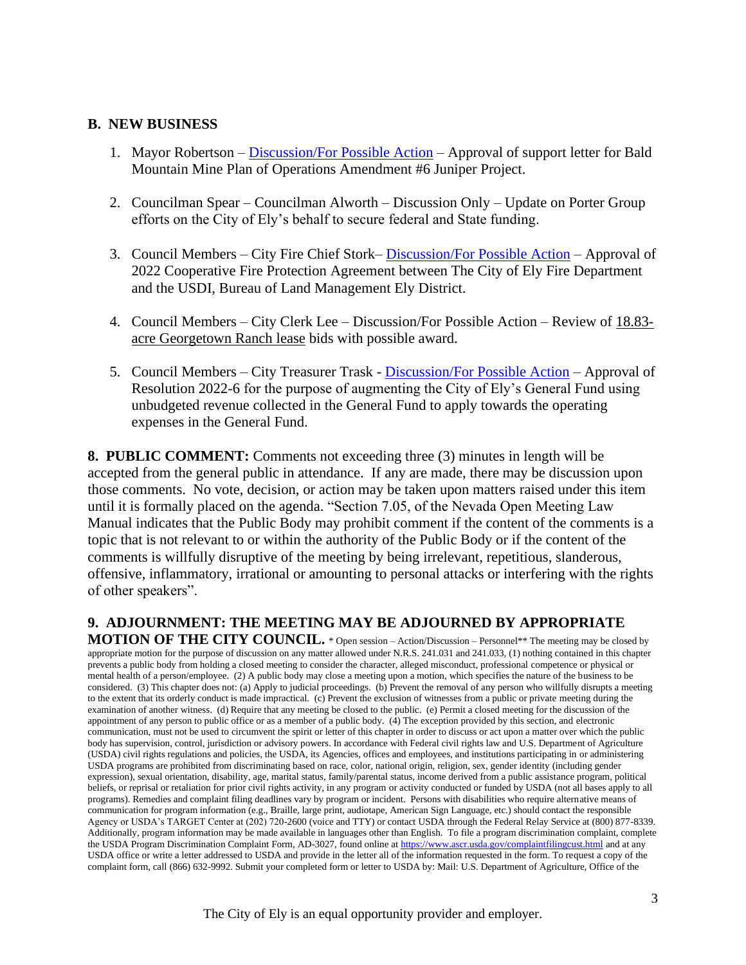#### **B. NEW BUSINESS**

- 1. Mayor Robertson [Discussion/For Possible Action](https://www.cityofelynv.gov/pdf/CityCouncil2022/cc4-28-22/BaldMountainMinePlanofOperationsAmendment6JuniperProjectsupportletter.pdf) Approval of support letter for Bald Mountain Mine Plan of Operations Amendment #6 Juniper Project.
- 2. Councilman Spear Councilman Alworth Discussion Only Update on Porter Group efforts on the City of Ely's behalf to secure federal and State funding.
- 3. Council Members City Fire Chief Stork– [Discussion/For Possible Action](https://www.cityofelynv.gov/pdf/CityCouncil2022/cc4-28-22/OperatingplanbetweenCOEandBLM.pdf) Approval of 2022 Cooperative Fire Protection Agreement between The City of Ely Fire Department and the USDI, Bureau of Land Management Ely District.
- 4. Council Members City Clerk Lee Discussion/For Possible Action Review of 18.83 acre Georgetown Ranch lease bids with possible award.
- 5. Council Members City Treasurer Trask [Discussion/For Possible Action](https://www.cityofelynv.gov/pdf/CityCouncil2022/cc4-28-22/Resolution2022-06.pdf) Approval of Resolution 2022-6 for the purpose of augmenting the City of Ely's General Fund using unbudgeted revenue collected in the General Fund to apply towards the operating expenses in the General Fund.

**8. PUBLIC COMMENT:** Comments not exceeding three (3) minutes in length will be accepted from the general public in attendance. If any are made, there may be discussion upon those comments. No vote, decision, or action may be taken upon matters raised under this item until it is formally placed on the agenda. "Section 7.05, of the Nevada Open Meeting Law Manual indicates that the Public Body may prohibit comment if the content of the comments is a topic that is not relevant to or within the authority of the Public Body or if the content of the comments is willfully disruptive of the meeting by being irrelevant, repetitious, slanderous, offensive, inflammatory, irrational or amounting to personal attacks or interfering with the rights of other speakers".

# **9. ADJOURNMENT: THE MEETING MAY BE ADJOURNED BY APPROPRIATE**

**MOTION OF THE CITY COUNCIL.** \* Open session – Action/Discussion – Personnel\*\* The meeting may be closed by appropriate motion for the purpose of discussion on any matter allowed under N.R.S. 241.031 and 241.033, (1) nothing contained in this chapter prevents a public body from holding a closed meeting to consider the character, alleged misconduct, professional competence or physical or mental health of a person/employee. (2) A public body may close a meeting upon a motion, which specifies the nature of the business to be considered. (3) This chapter does not: (a) Apply to judicial proceedings. (b) Prevent the removal of any person who willfully disrupts a meeting to the extent that its orderly conduct is made impractical. (c) Prevent the exclusion of witnesses from a public or private meeting during the examination of another witness. (d) Require that any meeting be closed to the public. (e) Permit a closed meeting for the discussion of the appointment of any person to public office or as a member of a public body. (4) The exception provided by this section, and electronic communication, must not be used to circumvent the spirit or letter of this chapter in order to discuss or act upon a matter over which the public body has supervision, control, jurisdiction or advisory powers. In accordance with Federal civil rights law and U.S. Department of Agriculture (USDA) civil rights regulations and policies, the USDA, its Agencies, offices and employees, and institutions participating in or administering USDA programs are prohibited from discriminating based on race, color, national origin, religion, sex, gender identity (including gender expression), sexual orientation, disability, age, marital status, family/parental status, income derived from a public assistance program, political beliefs, or reprisal or retaliation for prior civil rights activity, in any program or activity conducted or funded by USDA (not all bases apply to all programs). Remedies and complaint filing deadlines vary by program or incident. Persons with disabilities who require alternative means of communication for program information (e.g., Braille, large print, audiotape, American Sign Language, etc.) should contact the responsible Agency or USDA's TARGET Center at (202) 720-2600 (voice and TTY) or contact USDA through the Federal Relay Service at (800) 877-8339. Additionally, program information may be made available in languages other than English. To file a program discrimination complaint, complete the USDA Program Discrimination Complaint Form, AD-3027, found online a[t https://www.ascr.usda.gov/complaintfilingcust.html](https://www.ascr.usda.gov/complaintfilingcust.html) and at any USDA office or write a letter addressed to USDA and provide in the letter all of the information requested in the form. To request a copy of the complaint form, call (866) 632-9992. Submit your completed form or letter to USDA by: Mail: U.S. Department of Agriculture, Office of the